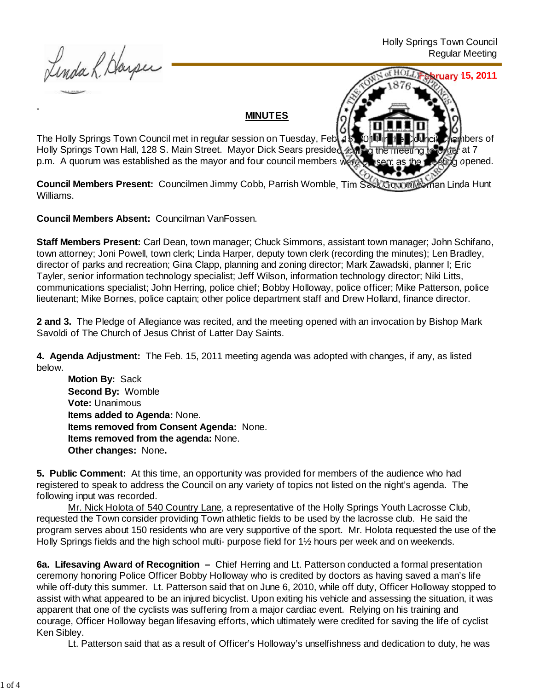Linda R. Harper

**February 15, 2011**

## **MINUTES**

The Holly Springs Town Council met in regular session on Tuesday, Feb. 15, 2014 in the Council Chambers of Holly Springs Town Hall, 128 S. Main Street. Mayor Dick Sears presided, 4 p.m. A quorum was established as the mayor and four council members were present as the meeting opened.

**Council Members Present:** Councilmen Jimmy Cobb, Parrish Womble, Tim Sack Councilwoman Linda Hunt Williams.

**Council Members Absent:** Councilman VanFossen.

**Staff Members Present:** Carl Dean, town manager; Chuck Simmons, assistant town manager; John Schifano, town attorney; Joni Powell, town clerk; Linda Harper, deputy town clerk (recording the minutes); Len Bradley, director of parks and recreation; Gina Clapp, planning and zoning director; Mark Zawadski, planner I; Eric Tayler, senior information technology specialist; Jeff Wilson, information technology director; Niki Litts, communications specialist; John Herring, police chief; Bobby Holloway, police officer; Mike Patterson, police lieutenant; Mike Bornes, police captain; other police department staff and Drew Holland, finance director.

**2 and 3.** The Pledge of Allegiance was recited, and the meeting opened with an invocation by Bishop Mark Savoldi of The Church of Jesus Christ of Latter Day Saints.

**4. Agenda Adjustment:** The Feb. 15, 2011 meeting agenda was adopted with changes, if any, as listed below.

**Motion By: Sack Second By:** Womble **Vote:** Unanimous **Items added to Agenda:** None. **Items removed from Consent Agenda:** None. **Items removed from the agenda:** None. **Other changes:** None**.**

**5. Public Comment:** At this time, an opportunity was provided for members of the audience who had registered to speak to address the Council on any variety of topics not listed on the night's agenda. The following input was recorded.

Mr. Nick Holota of 540 Country Lane, a representative of the Holly Springs Youth Lacrosse Club, requested the Town consider providing Town athletic fields to be used by the lacrosse club. He said the program serves about 150 residents who are very supportive of the sport. Mr. Holota requested the use of the Holly Springs fields and the high school multi- purpose field for 1½ hours per week and on weekends.

**6a. Lifesaving Award of Recognition –** Chief Herring and Lt. Patterson conducted a formal presentation ceremony honoring Police Officer Bobby Holloway who is credited by doctors as having saved a man's life while off-duty this summer. Lt. Patterson said that on June 6, 2010, while off duty, Officer Holloway stopped to assist with what appeared to be an injured bicyclist. Upon exiting his vehicle and assessing the situation, it was apparent that one of the cyclists was suffering from a major cardiac event. Relying on his training and courage, Officer Holloway began lifesaving efforts, which ultimately were credited for saving the life of cyclist Ken Sibley.

Lt. Patterson said that as a result of Officer's Holloway's unselfishness and dedication to duty, he was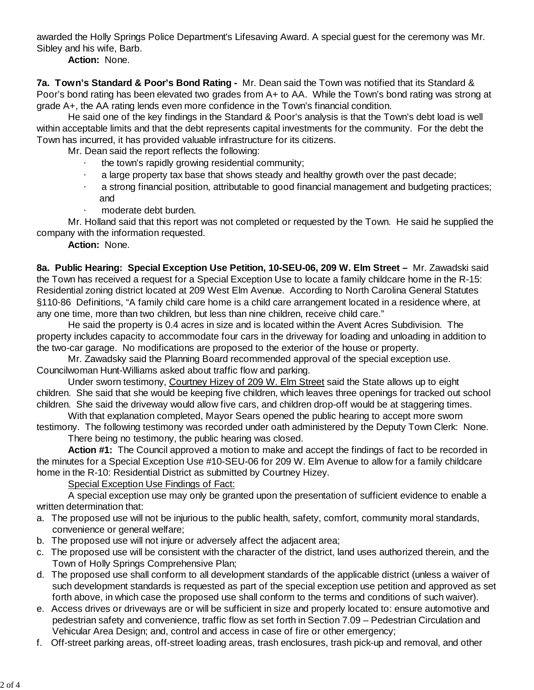awarded the Holly Springs Police Department's Lifesaving Award. A special guest for the ceremony was Mr. Sibley and his wife, Barb.

**Action:** None.

**7a. Town's Standard & Poor's Bond Rating -** Mr. Dean said the Town was notified that its Standard & Poor's bond rating has been elevated two grades from A+ to AA. While the Town's bond rating was strong at grade A+, the AA rating lends even more confidence in the Town's financial condition.

 He said one of the key findings in the Standard & Poor's analysis is that the Town's debt load is well within acceptable limits and that the debt represents capital investments for the community. For the debt the Town has incurred, it has provided valuable infrastructure for its citizens.

Mr. Dean said the report reflects the following:

- the town's rapidly growing residential community;
- a large property tax base that shows steady and healthy growth over the past decade;
- a strong financial position, attributable to good financial management and budgeting practices; and
	- moderate debt burden.

Mr. Holland said that this report was not completed or requested by the Town. He said he supplied the company with the information requested.

**Action:** None.

**8a. Public Hearing: Special Exception Use Petition, 10-SEU-06, 209 W. Elm Street –** Mr. Zawadski said the Town has received a request for a Special Exception Use to locate a family childcare home in the R-15: Residential zoning district located at 209 West Elm Avenue. According to North Carolina General Statutes §110‑86 Definitions, "A family child care home is a child care arrangement located in a residence where, at any one time, more than two children, but less than nine children, receive child care."

 He said the property is 0.4 acres in size and is located within the Avent Acres Subdivision. The property includes capacity to accommodate four cars in the driveway for loading and unloading in addition to the two-car garage. No modifications are proposed to the exterior of the house or property.

 Mr. Zawadsky said the Planning Board recommended approval of the special exception use. Councilwoman Hunt-Williams asked about traffic flow and parking.

Under sworn testimony, Courtney Hizey of 209 W. Elm Street said the State allows up to eight children. She said that she would be keeping five children, which leaves three openings for tracked out school children. She said the driveway would allow five cars, and children drop-off would be at staggering times.

With that explanation completed, Mayor Sears opened the public hearing to accept more sworn testimony. The following testimony was recorded under oath administered by the Deputy Town Clerk: None.

There being no testimony, the public hearing was closed.

**Action #1:** The Council approved a motion to make and accept the findings of fact to be recorded in the minutes for a Special Exception Use #10-SEU-06 for 209 W. Elm Avenue to allow for a family childcare home in the R-10: Residential District as submitted by Courtney Hizey.

Special Exception Use Findings of Fact:

 A special exception use may only be granted upon the presentation of sufficient evidence to enable a written determination that:

- a. The proposed use will not be injurious to the public health, safety, comfort, community moral standards, convenience or general welfare;
- b. The proposed use will not injure or adversely affect the adjacent area;
- c. The proposed use will be consistent with the character of the district, land uses authorized therein, and the Town of Holly Springs Comprehensive Plan;
- d. The proposed use shall conform to all development standards of the applicable district (unless a waiver of such development standards is requested as part of the special exception use petition and approved as set forth above, in which case the proposed use shall conform to the terms and conditions of such waiver).
- e. Access drives or driveways are or will be sufficient in size and properly located to: ensure automotive and pedestrian safety and convenience, traffic flow as set forth in Section 7.09 – Pedestrian Circulation and Vehicular Area Design; and, control and access in case of fire or other emergency;
- f. Off-street parking areas, off-street loading areas, trash enclosures, trash pick-up and removal, and other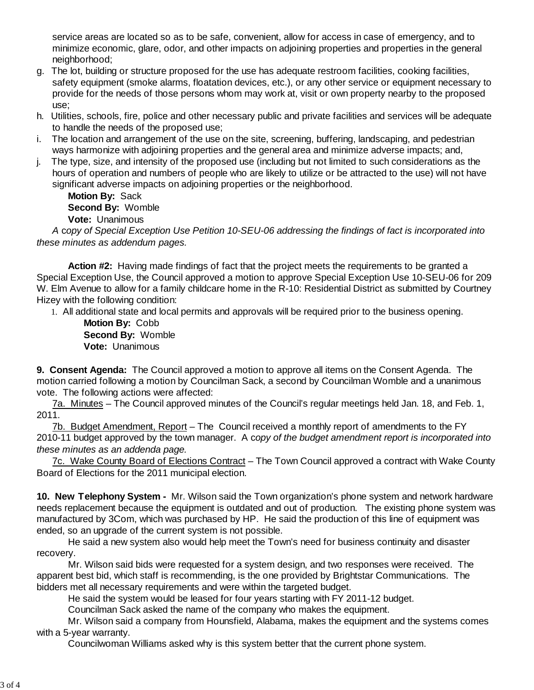service areas are located so as to be safe, convenient, allow for access in case of emergency, and to minimize economic, glare, odor, and other impacts on adjoining properties and properties in the general neighborhood;

- g. The lot, building or structure proposed for the use has adequate restroom facilities, cooking facilities, safety equipment (smoke alarms, floatation devices, etc.), or any other service or equipment necessary to provide for the needs of those persons whom may work at, visit or own property nearby to the proposed use;
- h. Utilities, schools, fire, police and other necessary public and private facilities and services will be adequate to handle the needs of the proposed use;
- i. The location and arrangement of the use on the site, screening, buffering, landscaping, and pedestrian ways harmonize with adjoining properties and the general area and minimize adverse impacts; and,
- j. The type, size, and intensity of the proposed use (including but not limited to such considerations as the hours of operation and numbers of people who are likely to utilize or be attracted to the use) will not have significant adverse impacts on adjoining properties or the neighborhood.

**Motion By:** Sack **Second By:** Womble **Vote:** Unanimous

*A* c*opy of Special Exception Use Petition 10-SEU-06 addressing the findings of fact is incorporated into these minutes as addendum pages.*

 **Action #2:** Having made findings of fact that the project meets the requirements to be granted a Special Exception Use, the Council approved a motion to approve Special Exception Use 10-SEU-06 for 209 W. Elm Avenue to allow for a family childcare home in the R-10: Residential District as submitted by Courtney Hizey with the following condition:

1. All additional state and local permits and approvals will be required prior to the business opening.

**Motion By:** Cobb **Second By:** Womble **Vote:** Unanimous

**9. Consent Agenda:** The Council approved a motion to approve all items on the Consent Agenda. The motion carried following a motion by Councilman Sack, a second by Councilman Womble and a unanimous vote. The following actions were affected:

7a. Minutes – The Council approved minutes of the Council's regular meetings held Jan. 18, and Feb. 1, 2011.

7b. Budget Amendment, Report – The Council received a monthly report of amendments to the FY 2010-11 budget approved by the town manager. A c*opy of the budget amendment report is incorporated into these minutes as an addenda page.*

7c. Wake County Board of Elections Contract – The Town Council approved a contract with Wake County Board of Elections for the 2011 municipal election.

**10. New Telephony System -** Mr. Wilson said the Town organization's phone system and network hardware needs replacement because the equipment is outdated and out of production. The existing phone system was manufactured by 3Com, which was purchased by HP. He said the production of this line of equipment was ended, so an upgrade of the current system is not possible.

 He said a new system also would help meet the Town's need for business continuity and disaster recovery.

 Mr. Wilson said bids were requested for a system design, and two responses were received. The apparent best bid, which staff is recommending, is the one provided by Brightstar Communications. The bidders met all necessary requirements and were within the targeted budget.

He said the system would be leased for four years starting with FY 2011-12 budget.

Councilman Sack asked the name of the company who makes the equipment.

Mr. Wilson said a company from Hounsfield, Alabama, makes the equipment and the systems comes with a 5-year warranty.

Councilwoman Williams asked why is this system better that the current phone system.